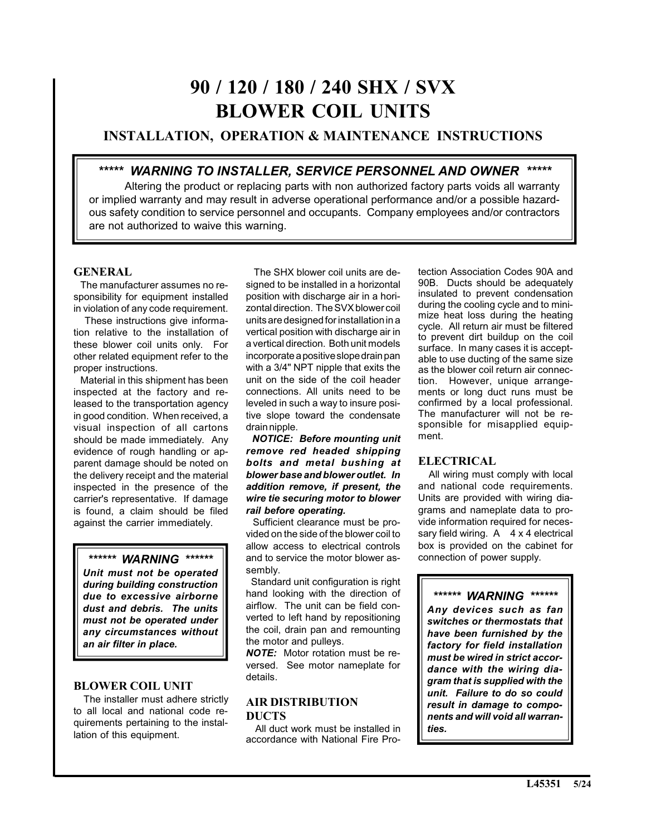# **90 / 120 / 180 / 240 SHX / SVX BLOWER COIL UNITS**

# **INSTALLATION, OPERATION & MAINTENANCE INSTRUCTIONS**

# *\*\*\*\*\* WARNING TO INSTALLER, SERVICE PERSONNEL AND OWNER \*\*\*\*\**

Altering the product or replacing parts with non authorized factory parts voids all warranty or implied warranty and may result in adverse operational performance and/or a possible hazardous safety condition to service personnel and occupants. Company employees and/or contractors are not authorized to waive this warning.

## **GENERAL**

 The manufacturer assumes no responsibility for equipment installed in violation of any code requirement.

 These instructions give information relative to the installation of these blower coil units only. For other related equipment refer to the proper instructions.

 Material in this shipment has been inspected at the factory and released to the transportation agency in good condition. When received, a visual inspection of all cartons should be made immediately. Any evidence of rough handling or apparent damage should be noted on the delivery receipt and the material inspected in the presence of the carrier's representative. If damage is found, a claim should be filed against the carrier immediately.

# *\*\*\*\*\*\* WARNING \*\*\*\*\*\**

*Unit must not be operated during building construction due to excessive airborne dust and debris. The units must not be operated under any circumstances without an air filter in place.*

#### **BLOWER COIL UNIT**

 The installer must adhere strictly to all local and national code requirements pertaining to the installation of this equipment.

 The SHX blower coil units are designed to be installed in a horizontal position with discharge air in a horizontal direction. The SVX blower coil units are designed for installation in a vertical position with discharge air in a vertical direction. Both unit models incorporate a positive slope drain pan with a 3/4" NPT nipple that exits the unit on the side of the coil header connections. All units need to be leveled in such a way to insure positive slope toward the condensate drain nipple.

 *NOTICE: Before mounting unit remove red headed shipping bolts and metal bushing at blower base and blower outlet. In addition remove, if present, the wire tie securing motor to blower rail before operating.*

 Sufficient clearance must be provided on the side of the blower coil to allow access to electrical controls and to service the motor blower assembly.

Standard unit configuration is right hand looking with the direction of airflow. The unit can be field converted to left hand by repositioning the coil, drain pan and remounting the motor and pulleys.

*NOTE:* Motor rotation must be reversed. See motor nameplate for details.

### **AIR DISTRIBUTION DUCTS**

 All duct work must be installed in accordance with National Fire Protection Association Codes 90A and 90B. Ducts should be adequately insulated to prevent condensation during the cooling cycle and to minimize heat loss during the heating cycle. All return air must be filtered to prevent dirt buildup on the coil surface. In many cases it is acceptable to use ducting of the same size as the blower coil return air connection. However, unique arrangements or long duct runs must be confirmed by a local professional. The manufacturer will not be responsible for misapplied equipment.

# **ELECTRICAL**

 All wiring must comply with local and national code requirements. Units are provided with wiring diagrams and nameplate data to provide information required for necessary field wiring.  $A \times 4$  electrical box is provided on the cabinet for connection of power supply.

*\*\*\*\*\*\* WARNING \*\*\*\*\*\* Any devices such as fan switches or thermostats that have been furnished by the factory for field installation must be wired in strict accordance with the wiring diagram that is supplied with the unit. Failure to do so could result in damage to components and will void all warranties.*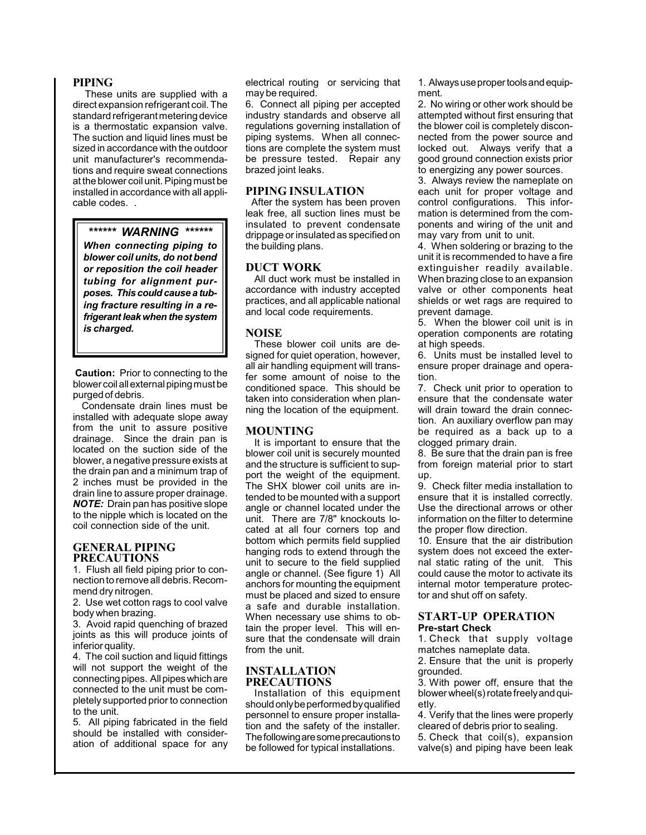#### **PIPING**

 These units are supplied with a direct expansion refrigerant coil. The standard refrigerant metering device is a thermostatic expansion valve. The suction and liquid lines must be sized in accordance with the outdoor unit manufacturer's recommendations and require sweat connections at the blower coil unit. Piping must be installed in accordance with all applicable codes. .

*\*\*\*\*\*\* WARNING \*\*\*\*\*\* When connecting piping to blower coil units, do not bend or reposition the coil header tubing for alignment purposes. This could cause a tubing fracture resulting in a refrigerant leak when the system is charged.*

**Caution:** Prior to connecting to the blower coil all external piping must be purged of debris.

 Condensate drain lines must be installed with adequate slope away from the unit to assure positive drainage. Since the drain pan is located on the suction side of the blower, a negative pressure exists at the drain pan and a minimum trap of 2 inches must be provided in the drain line to assure proper drainage. *NOTE:* Drain pan has positive slope to the nipple which is located on the coil connection side of the unit.

#### **GENERAL PIPING PRECAUTIONS**

1. Flush all field piping prior to connection to remove all debris. Recommend dry nitrogen.

2. Use wet cotton rags to cool valve body when brazing.

3. Avoid rapid quenching of brazed joints as this will produce joints of inferior quality.

4. The coil suction and liquid fittings will not support the weight of the connecting pipes. All pipes which are connected to the unit must be completely supported prior to connection to the unit.

5. All piping fabricated in the field should be installed with consideration of additional space for any electrical routing or servicing that may be required.

6. Connect all piping per accepted industry standards and observe all regulations governing installation of piping systems. When all connections are complete the system must be pressure tested. Repair any brazed joint leaks.

#### **PIPING INSULATION**

 After the system has been proven leak free, all suction lines must be insulated to prevent condensate drippage or insulated as specified on the building plans.

#### **DUCT WORK**

All duct work must be installed in accordance with industry accepted practices, and all applicable national and local code requirements.

#### **NOISE**

These blower coil units are designed for quiet operation, however, all air handling equipment will transfer some amount of noise to the conditioned space. This should be taken into consideration when planning the location of the equipment.

#### **MOUNTING**

It is important to ensure that the blower coil unit is securely mounted and the structure is sufficient to support the weight of the equipment. The SHX blower coil units are intended to be mounted with a support angle or channel located under the unit. There are 7/8" knockouts located at all four corners top and bottom which permits field supplied hanging rods to extend through the unit to secure to the field supplied angle or channel. (See figure 1) All anchors for mounting the equipment must be placed and sized to ensure a safe and durable installation. When necessary use shims to obtain the proper level. This will ensure that the condensate will drain from the unit.

#### **INSTALLATION PRECAUTIONS**

Installation of this equipment should only be performed by qualified personnel to ensure proper installation and the safety of the installer. The following are some precautions to be followed for typical installations.

1. Always use proper tools and equipment.

2. No wiring or other work should be attempted without first ensuring that the blower coil is completely disconnected from the power source and locked out. Always verify that a good ground connection exists prior to energizing any power sources.

3. Always review the nameplate on each unit for proper voltage and control configurations. This information is determined from the components and wiring of the unit and may vary from unit to unit.

4. When soldering or brazing to the unit it is recommended to have a fire extinguisher readily available. When brazing close to an expansion valve or other components heat shields or wet rags are required to prevent damage.

5. When the blower coil unit is in operation components are rotating at high speeds.

6. Units must be installed level to ensure proper drainage and operation.

7. Check unit prior to operation to ensure that the condensate water will drain toward the drain connection. An auxiliary overflow pan may be required as a back up to a clogged primary drain.

8. Be sure that the drain pan is free from foreign material prior to start up.

9. Check filter media installation to ensure that it is installed correctly. Use the directional arrows or other information on the filter to determine the proper flow direction.

10. Ensure that the air distribution system does not exceed the external static rating of the unit. This could cause the motor to activate its internal motor temperature protector and shut off on safety.

#### **START-UP OPERATION Pre-start Check**

1. Check that supply voltage matches nameplate data.

2. Ensure that the unit is properly grounded.

3. With power off, ensure that the blower wheel(s) rotate freely and quietly.

4. Verify that the lines were properly cleared of debris prior to sealing.

5. Check that coil(s), expansion valve(s) and piping have been leak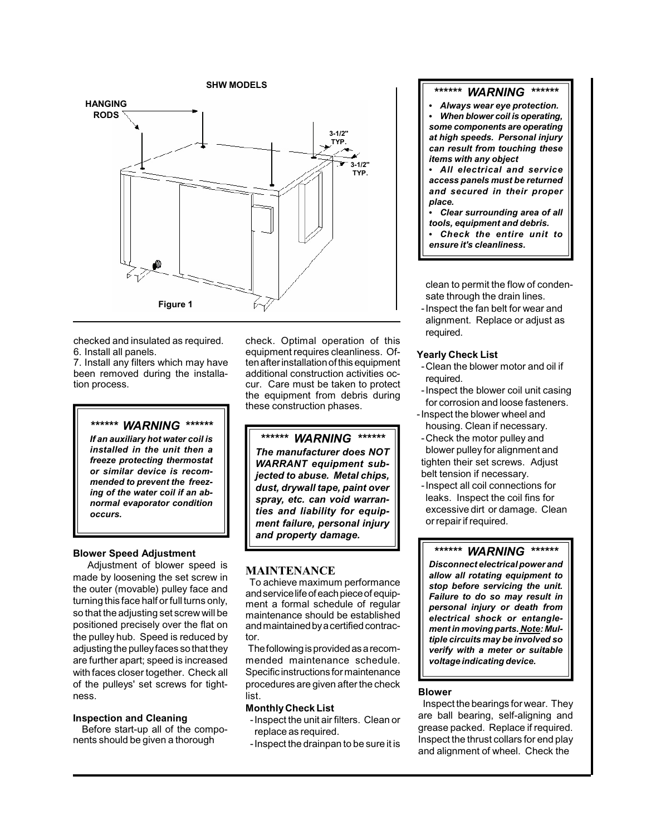

checked and insulated as required. 6. Install all panels.

7. Install any filters which may have been removed during the installation process.

*\*\*\*\*\*\* WARNING \*\*\*\*\*\**

*If an auxiliary hot water coil is installed in the unit then a freeze protecting thermostat or similar device is recommended to prevent the freezing of the water coil if an abnormal evaporator condition occurs.*

#### **Blower Speed Adjustment**

 Adjustment of blower speed is made by loosening the set screw in the outer (movable) pulley face and turning this face half or full turns only, so that the adjusting set screw will be positioned precisely over the flat on the pulley hub. Speed is reduced by adjusting the pulley faces so that they are further apart; speed is increased with faces closer together. Check all of the pulleys' set screws for tightness.

#### **Inspection and Cleaning**

Before start-up all of the components should be given a thorough

check. Optimal operation of this equipment requires cleanliness. Often after installation of this equipment additional construction activities occur. Care must be taken to protect the equipment from debris during these construction phases.

*\*\*\*\*\*\* WARNING \*\*\*\*\*\* The manufacturer does NOT WARRANT equipment subjected to abuse. Metal chips, dust, drywall tape, paint over spray, etc. can void warranties and liability for equipment failure, personal injury and property damage.*

#### **MAINTENANCE**

 To achieve maximum performance and service life of each piece of equipment a formal schedule of regular maintenance should be established and maintained by a certified contractor.

 The following is provided as a recommended maintenance schedule. Specific instructions for maintenance procedures are given after the check list.

#### **Monthly Check List**

- -Inspect the unit air filters. Clean or replace as required.
- -Inspect the drainpan to be sure it is

#### *\*\*\*\*\*\* WARNING \*\*\*\*\*\**

 *Always wear eye protection. When blower coil is operating, some components are operating at high speeds. Personal injury can result from touching these items with any object*

 *All electrical and service access panels must be returned and secured in their proper place.*

 *Clear surrounding area of all tools, equipment and debris. Check the entire unit to ensure it's cleanliness.*

clean to permit the flow of condensate through the drain lines.

-Inspect the fan belt for wear and alignment. Replace or adjust as required.

#### **Yearly Check List**

- -Clean the blower motor and oil if required.
- -Inspect the blower coil unit casing for corrosion and loose fasteners.
- -Inspect the blower wheel and housing. Clean if necessary.
- -Check the motor pulley and blower pulley for alignment and tighten their set screws. Adjust belt tension if necessary.
- -Inspect all coil connections for leaks. Inspect the coil fins for excessive dirt or damage. Clean or repair if required.

#### *\*\*\*\*\*\* WARNING \*\*\*\*\*\**

*Disconnect electrical power and allow all rotating equipment to stop before servicing the unit. Failure to do so may result in personal injury or death from electrical shock or entanglement in moving parts. Note: Multiple circuits may be involved so verify with a meter or suitable voltage indicating device.*

#### **Blower**

 Inspect the bearings for wear. They are ball bearing, self-aligning and grease packed. Replace if required. Inspect the thrust collars for end play and alignment of wheel. Check the